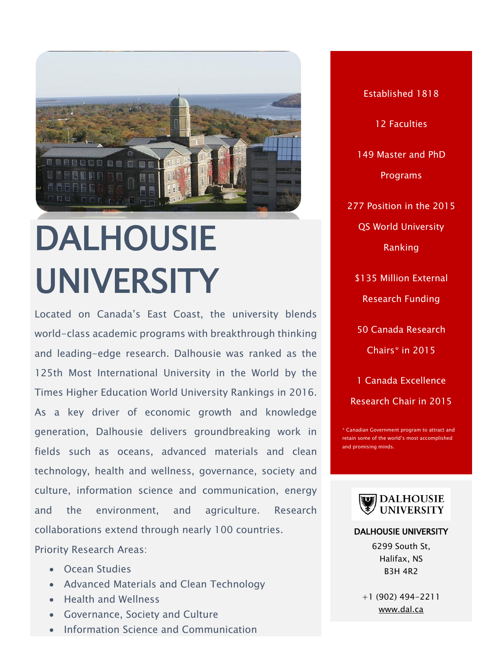

# DALHOUSIE UNIVERSITY

Located on Canada's East Coast, the university blends world-class academic programs with breakthrough thinking and leading-edge research. Dalhousie was ranked as the 125th Most International University in the World by the Times Higher Education World University Rankings in 2016. As a key driver of economic growth and knowledge generation, Dalhousie delivers groundbreaking work in fields such as oceans, advanced materials and clean technology, health and wellness, governance, society and culture, information science and communication, energy and the environment, and agriculture. Research collaborations extend through nearly 100 countries.

Priority Research Areas:

- Ocean Studies
- Advanced Materials and Clean Technology
- Health and Wellness
- Governance, Society and Culture
- Information Science and Communication

Established 1818 12 Faculties 149 Master and PhD Programs 277 Position in the 2015 QS World University Ranking \$135 Million External Research Funding 50 Canada Research Chairs\* in 2015

1 Canada Excellence Research Chair in 2015

anadian Government program to attract and retain some of the world's most accomplished d promising minds.



### DALHOUSIE UNIVERSITY

6299 South St, Halifax, NS B3H 4R2

+1 (902) 494-2211 [www.dal.ca](file:///C:/Users/Paulo%20Carvalho/Desktop/CALDO%20BROCHURE/www.dal.ca)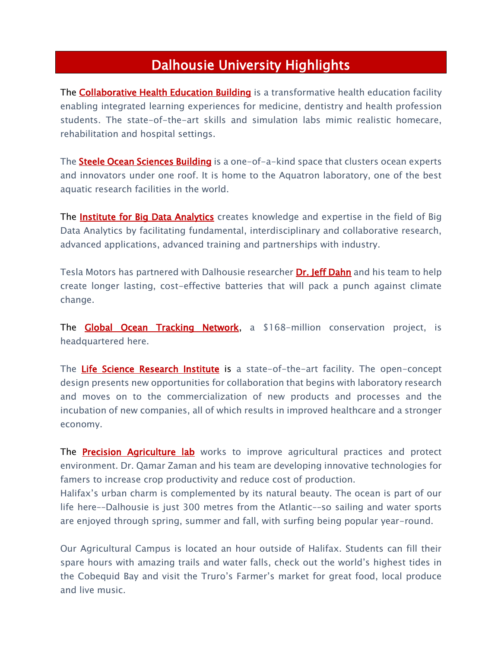# Dalhousie University Highlights

The **Collaborative Health Education Building** is a transformative health education facility enabling integrated learning experiences for medicine, dentistry and health profession students. The state-of-the-art skills and simulation labs mimic realistic homecare, rehabilitation and hospital settings.

The **Steele Ocean Sciences Building** is a one-of-a-kind space that clusters ocean experts and innovators under one roof. It is home to the Aquatron laboratory, one of the best aquatic research facilities in the world.

The [Institute for Big Data Analytics](http://www.bigdata.cs.dal.ca/) creates knowledge and expertise in the field of Big Data Analytics by facilitating fundamental, interdisciplinary and collaborative research, advanced applications, advanced training and partnerships with industry.

Tesla Motors has partnered with Dalhousie researcher **Dr. Jeff Dahn** and his team to help create longer lasting, cost-effective batteries that will pack a punch against climate change.

The **Global Ocean Tracking Network**, a \$168-million conservation project, is headquartered here.

The [Life Science Research Institute](http://www.dal.ca/dept/facilities/campus-development/projects/life-sciences-research-institute-.html) is a state-of-the-art facility. The open-concept design presents new opportunities for collaboration that begins with laboratory research and moves on to the commercialization of new products and processes and the incubation of new companies, all of which results in improved healthcare and a stronger economy.

The **[Precision Agriculture lab](http://www.dal.ca/sites/precision-agriculture.html)** works to improve agricultural practices and protect environment. Dr. Qamar Zaman and his team are developing innovative technologies for famers to increase crop productivity and reduce cost of production.

Halifax's urban charm is complemented by its natural beauty. The ocean is part of our life here––Dalhousie is just 300 metres from the Atlantic––so sailing and water sports are enjoyed through spring, summer and fall, with surfing being popular year-round.

Our Agricultural Campus is located an hour outside of Halifax. Students can fill their spare hours with amazing trails and water falls, check out the world's highest tides in the Cobequid Bay and visit the Truro's Farmer's market for great food, local produce and live music.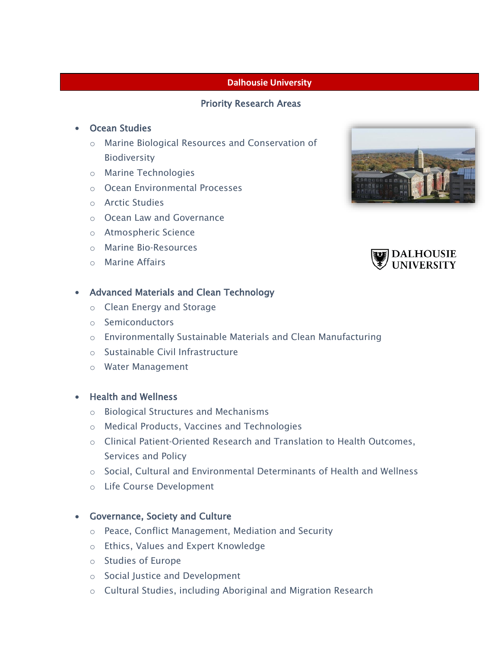### **Dalhousie University**

## Priority Research Areas

### Ocean Studies

- o Marine Biological Resources and Conservation of Biodiversity
- o Marine Technologies
- o Ocean Environmental Processes
- o Arctic Studies
- o Ocean Law and Governance
- o Atmospheric Science
- o Marine Bio‐Resources
- o Marine Affairs

# Advanced Materials and Clean Technology

- o Clean Energy and Storage
- o Semiconductors
- o Environmentally Sustainable Materials and Clean Manufacturing
- o Sustainable Civil Infrastructure
- o Water Management
- Health and Wellness
	- o Biological Structures and Mechanisms
	- o Medical Products, Vaccines and Technologies
	- o Clinical Patient‐Oriented Research and Translation to Health Outcomes, Services and Policy
	- $\circ$  Social, Cultural and Environmental Determinants of Health and Wellness
	- o Life Course Development

#### Governance, Society and Culture

- o Peace, Conflict Management, Mediation and Security
- o Ethics, Values and Expert Knowledge
- o Studies of Europe
- o Social Justice and Development
- o Cultural Studies, including Aboriginal and Migration Research